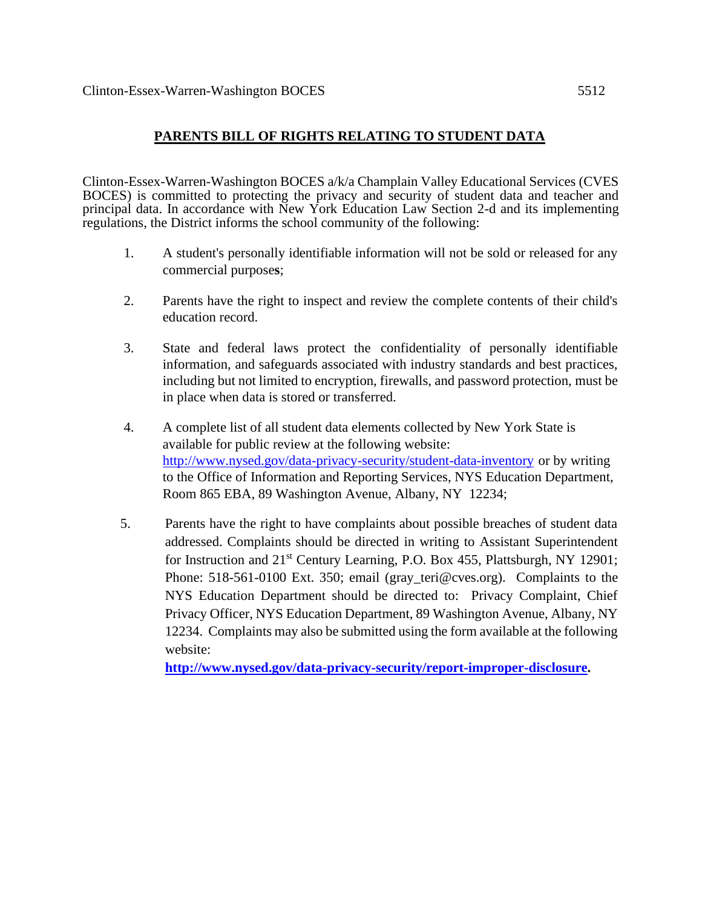## **PARENTS BILL OF RIGHTS RELATING TO STUDENT DATA**

Clinton-Essex-Warren-Washington BOCES a/k/a Champlain Valley Educational Services (CVES BOCES) is committed to protecting the privacy and security of student data and teacher and principal data. In accordance with New York Education Law Section 2-d and its implementing regulations, the District informs the school community of the following:

- 1. A student's personally identifiable information will not be sold or released for any commercial purpose**s**;
- 2. Parents have the right to inspect and review the complete contents of their child's education record.
- 3. State and federal laws protect the confidentiality of personally identifiable information, and safeguards associated with industry standards and best practices, including but not limited to encryption, firewalls, and password protection, must be in place when data is stored or transferred.
- 4. A complete list of all student data elements collected by New York State is available for public review at the following website: <http://www.nysed.gov/data-privacy-security/student-data-inventory> or by writing to the Office of Information and Reporting Services, NYS Education Department, Room 865 EBA, 89 Washington Avenue, Albany, NY 12234;
- 5. Parents have the right to have complaints about possible breaches of student data addressed. Complaints should be directed in writing to Assistant Superintendent for Instruction and  $21<sup>st</sup>$  Century Learning, P.O. Box 455, Plattsburgh, NY 12901; Phone: 518-561-0100 Ext. 350; email (gray\_teri@cves.org). Complaints to the NYS Education Department should be directed to: Privacy Complaint, Chief Privacy Officer, NYS Education Department, 89 Washington Avenue, Albany, NY 12234. Complaints may also be submitted using the form available at the following website:

**[http://www.nysed.gov/data-privacy-security/report-improper-disclosure.](http://www.nysed.gov/data-privacy-security/report-improper-disclosure)**